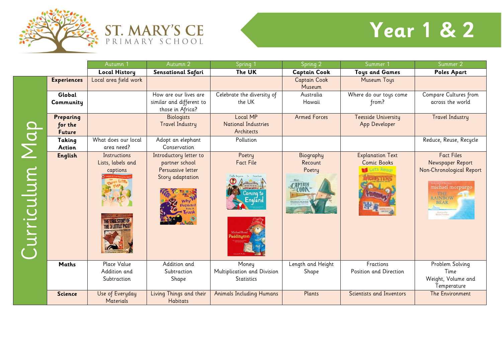



## **Year 1 & 2**

|           |                                       | Autumn                                                                                         | Autumn 2                                                                                  | Spring 1                                                                                                         | Spring 2                       | Summer                                                       | Summer 2                                                                                                                                                                 |
|-----------|---------------------------------------|------------------------------------------------------------------------------------------------|-------------------------------------------------------------------------------------------|------------------------------------------------------------------------------------------------------------------|--------------------------------|--------------------------------------------------------------|--------------------------------------------------------------------------------------------------------------------------------------------------------------------------|
|           |                                       | <b>Local History</b>                                                                           | <b>Sensational Safari</b>                                                                 | The UK                                                                                                           | <b>Captain Cook</b>            | <b>Toys and Games</b>                                        | <b>Poles Apart</b>                                                                                                                                                       |
|           | <b>Experiences</b>                    | Local area field work                                                                          |                                                                                           |                                                                                                                  | <b>Captain Cook</b><br>Museum  | Museum Toys                                                  |                                                                                                                                                                          |
|           | Global<br>Community                   |                                                                                                | How are our lives are<br>similar and different to<br>those in Africa?                     | Celebrate the diversity of<br>the UK                                                                             | Australia<br>Hawaii            | Where do our toys come<br>from?                              | Compare Cultures from<br>across the world                                                                                                                                |
| Map       | Preparing<br>for the<br><b>Future</b> |                                                                                                | <b>Biologists</b><br><b>Travel Industry</b>                                               | <b>Local MP</b><br><b>National Industries</b><br>Architects                                                      | <b>Armed Forces</b>            | <b>Teesside University</b><br>App Developer                  | <b>Travel Industry</b>                                                                                                                                                   |
|           | Taking<br><b>Action</b>               | What does our local<br>area need?                                                              | Adopt an elephant<br>Conservation                                                         | Pollution                                                                                                        |                                |                                                              | Reduce, Reuse, Recycle                                                                                                                                                   |
| urriculum | English                               | Instructions<br>Lists, labels and<br>captions<br><b>THE TRIJE STORY O</b><br>THE 3 LITTLE PIGS | Introductory letter to<br>partner school<br>Persuasive letter<br>Story adaptation<br>phan | Poetry<br><b>Fact File</b><br>  <sub>มันิกก</sub> ที่ก<br>  การกาก<br>  ม <b>กจพแล</b> ะ<br>Coming to<br>England | Biography<br>Recount<br>Poetry | <b>Explanation Text</b><br><b>Comic Books</b><br>Let's Regar | <b>Fact Files</b><br>Newspaper Report<br>Non-Chronological Report<br>michael morpurgo<br>THE.<br><b>RAINBOW</b><br><b>BEAR</b><br><b>Hustrated by</b><br>Michael Foreman |
|           | <b>Maths</b>                          | Place Value<br>Addition and<br>Subtraction                                                     | Addition and<br>Subtraction<br>Shape                                                      | Money<br>Multiplication and Division<br><b>Statistics</b>                                                        | Length and Height<br>Shape     | Fractions<br>Position and Direction                          | Problem Solving<br>Time<br>Weight, Volume and<br>Temperature                                                                                                             |
|           | <b>Science</b>                        | Use of Everyday<br><b>Materials</b>                                                            | Living Things and their<br><b>Habitats</b>                                                | <b>Animals Including Humans</b>                                                                                  | Plants                         | Scientists and Inventors                                     | The Environment                                                                                                                                                          |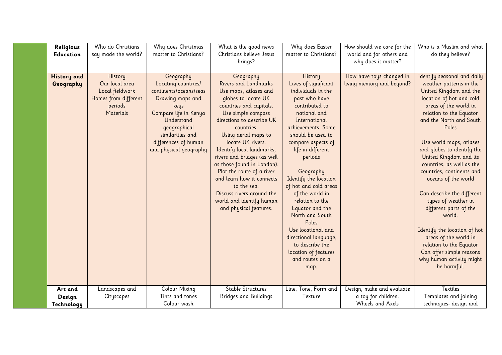| Religious                       | Who do Christians<br>say made the world?                                                                   | Why does Christmas<br>matter to Christians?                                                                                                                                                                         | What is the good news<br>Christians believe Jesus                                                                                                                                                                                                                                                                                                                                                                                                                                       | Why does Easter<br>matter to Christians?                                                                                                                                                                                                                                                                                                                                                                                                                                                            | How should we care for the<br>world and for others and               | Who is a Muslim and what<br>do they believe?                                                                                                                                                                                                                                                                                                                                                                                                                                                                                                                                                                                 |
|---------------------------------|------------------------------------------------------------------------------------------------------------|---------------------------------------------------------------------------------------------------------------------------------------------------------------------------------------------------------------------|-----------------------------------------------------------------------------------------------------------------------------------------------------------------------------------------------------------------------------------------------------------------------------------------------------------------------------------------------------------------------------------------------------------------------------------------------------------------------------------------|-----------------------------------------------------------------------------------------------------------------------------------------------------------------------------------------------------------------------------------------------------------------------------------------------------------------------------------------------------------------------------------------------------------------------------------------------------------------------------------------------------|----------------------------------------------------------------------|------------------------------------------------------------------------------------------------------------------------------------------------------------------------------------------------------------------------------------------------------------------------------------------------------------------------------------------------------------------------------------------------------------------------------------------------------------------------------------------------------------------------------------------------------------------------------------------------------------------------------|
| <b>Education</b>                |                                                                                                            |                                                                                                                                                                                                                     | brings?                                                                                                                                                                                                                                                                                                                                                                                                                                                                                 |                                                                                                                                                                                                                                                                                                                                                                                                                                                                                                     | why does it matter?                                                  |                                                                                                                                                                                                                                                                                                                                                                                                                                                                                                                                                                                                                              |
| <b>History</b> and<br>Geography | <b>History</b><br>Our local area<br>Local fieldwork<br>Homes from different<br>periods<br><b>Materials</b> | Geography<br>Locating countries/<br>continents/oceans/seas<br>Drawing maps and<br>keys<br>Compare life in Kenya<br>Understand<br>geographical<br>similarities and<br>differences of human<br>and physical geography | Geography<br><b>Rivers and Landmarks</b><br>Use maps, atlases and<br>globes to locate UK<br>countries and capitals.<br>Use simple compass<br>directions to describe UK<br>countries.<br>Using aerial maps to<br>locate UK rivers.<br>Identify local landmarks,<br>rivers and bridges (as well<br>as those found in London).<br>Plot the route of a river<br>and learn how it connects<br>to the sea.<br>Discuss rivers around the<br>world and identify human<br>and physical features. | History<br>Lives of significant<br>individuals in the<br>past who have<br>contributed to<br>national and<br>International<br>achievements. Some<br>should be used to<br>compare aspects of<br>life in different<br>periods<br>Geography<br>Identify the location<br>of hot and cold areas<br>of the world in<br>relation to the<br>Equator and the<br>North and South<br>Poles<br>Use locational and<br>directional language,<br>to describe the<br>location of features<br>and routes on a<br>map. | How have toys changed in<br>living memory and beyond?                | Identify seasonal and daily<br>weather patterns in the<br>United Kingdom and the<br>location of hot and cold<br>areas of the world in<br>relation to the Equator<br>and the North and South<br>Poles<br>Use world maps, atlases<br>and globes to identify the<br>United Kingdom and its<br>countries, as well as the<br>countries, continents and<br>oceans of the world<br>Can describe the different<br>types of weather in<br>different parts of the<br>world.<br>Identify the location of hot<br>areas of the world in<br>relation to the Equator<br>Can offer simple reasons<br>why human activity might<br>be harmful. |
| Art and<br>Design<br>Technology | Landscapes and<br>Cityscapes                                                                               | <b>Colour Mixing</b><br>Tints and tones<br>Colour wash                                                                                                                                                              | <b>Stable Structures</b><br><b>Bridges and Buildings</b>                                                                                                                                                                                                                                                                                                                                                                                                                                | Line, Tone, Form and<br>Texture                                                                                                                                                                                                                                                                                                                                                                                                                                                                     | Design, make and evaluate<br>a toy for children.<br>Wheels and Axels | Textiles<br>Templates and joining<br>techniques- design and                                                                                                                                                                                                                                                                                                                                                                                                                                                                                                                                                                  |